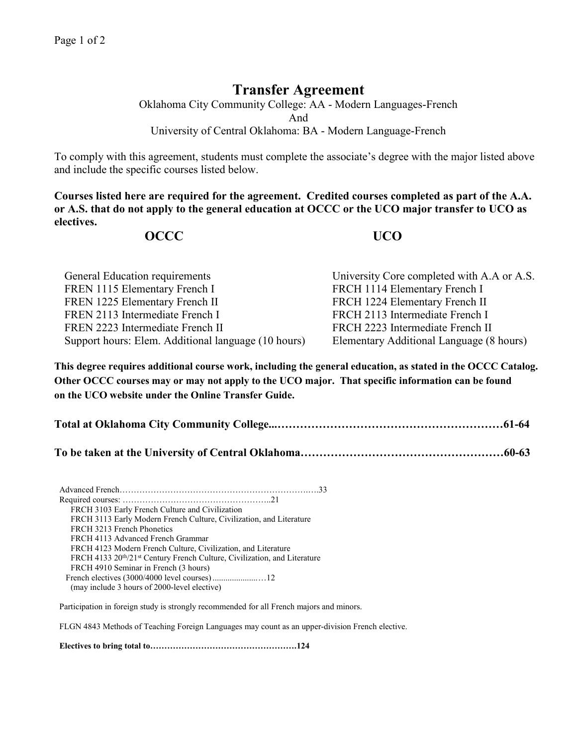## **Transfer Agreement**

Oklahoma City Community College: AA - Modern Languages-French And University of Central Oklahoma: BA - Modern Language-French

To comply with this agreement, students must complete the associate's degree with the major listed above and include the specific courses listed below.

**Courses listed here are required for the agreement. Credited courses completed as part of the A.A. or A.S. that do not apply to the general education at OCCC or the UCO major transfer to UCO as electives.**

## **OCCC UCO**

| General Education requirements                      | University Core completed with A.A or A.S. |
|-----------------------------------------------------|--------------------------------------------|
| FREN 1115 Elementary French I                       | FRCH 1114 Elementary French I              |
| FREN 1225 Elementary French II                      | FRCH 1224 Elementary French II             |
| FREN 2113 Intermediate French I                     | FRCH 2113 Intermediate French I            |
| FREN 2223 Intermediate French II                    | FRCH 2223 Intermediate French II           |
| Support hours: Elem. Additional language (10 hours) | Elementary Additional Language (8 hours)   |

**This degree requires additional course work, including the general education, as stated in the OCCC Catalog. Other OCCC courses may or may not apply to the UCO major. That specific information can be found on the UCO website under the Online Transfer Guide.**

**Total at Oklahoma City Community College...……………………………………………………61-64**

**To be taken at the University of Central Oklahoma………………………………………………60-63**

Advanced French………………………………………………………….….33 Required courses: ……………………………………………..21 FRCH 3103 Early French Culture and Civilization FRCH 3113 Early Modern French Culture, Civilization, and Literature FRCH 3213 French Phonetics FRCH 4113 Advanced French Grammar FRCH 4123 Modern French Culture, Civilization, and Literature FRCH 4133 20<sup>th</sup>/21<sup>st</sup> Century French Culture, Civilization, and Literature FRCH 4910 Seminar in French (3 hours) French electives (3000/4000 level courses).....................…12 (may include 3 hours of 2000-level elective)

Participation in foreign study is strongly recommended for all French majors and minors.

FLGN 4843 Methods of Teaching Foreign Languages may count as an upper-division French elective.

**Electives to bring total to…………………………………………….124**